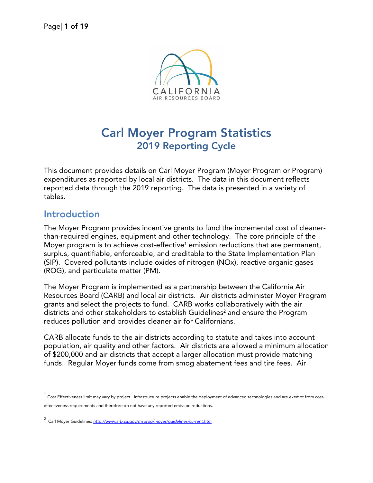

# **Carl Moyer Program Statistics 2019 Reporting Cycle**

This document provides details on Carl Moyer Program (Moyer Program or Program) expenditures as reported by local air districts. The data in this document reflects reported data through the 2019 reporting. The data is presented in a variety of tables.

### **Introduction**

 $\overline{a}$ 

The Moyer Program provides incentive grants to fund the incremental cost of cleanerthan-required engines, equipment and other technology. The core principle of the Moyer program is to achieve cost-effective<sup>[1](#page-0-0)</sup> emission reductions that are permanent, surplus, quantifiable, enforceable, and creditable to the State Implementation Plan (SIP). Covered pollutants include oxides of nitrogen (NOx), reactive organic gases (ROG), and particulate matter (PM).

The Moyer Program is implemented as a partnership between the California Air Resources Board (CARB) and local air districts. Air districts administer Moyer Program grants and select the projects to fund. CARB works collaboratively with the air districts and other stakeholders to establish Guidelines<sup>[2](#page-0-1)</sup> and ensure the Program reduces pollution and provides cleaner air for Californians.

CARB allocate funds to the air districts according to statute and takes into account population, air quality and other factors. Air districts are allowed a minimum allocation of \$200,000 and air districts that accept a larger allocation must provide matching funds. Regular Moyer funds come from smog abatement fees and tire fees. Air

<span id="page-0-0"></span><sup>1</sup> Cost Effectiveness limit may vary by project. Infrastructure projects enable the deployment of advanced technologies and are exempt from costeffectiveness requirements and therefore do not have any reported emission reductions.

<span id="page-0-1"></span><sup>2</sup> Carl Moyer Guidelines: *<http://www.arb.ca.gov/msprog/moyer/guidelines/current.htm>*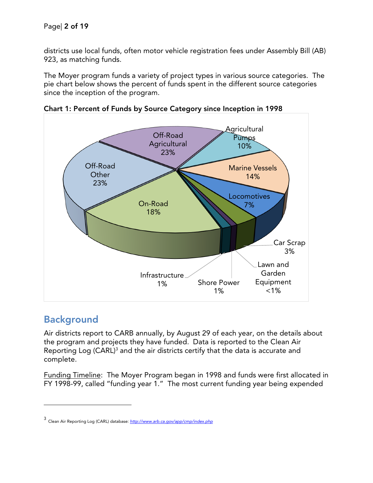districts use local funds, often motor vehicle registration fees under Assembly Bill (AB) 923, as matching funds.

The Moyer program funds a variety of project types in various source categories. The pie chart below shows the percent of funds spent in the different source categories since the inception of the program.



**Chart 1: Percent of Funds by Source Category since Inception in 1998**

## **Background**

l

Air districts report to CARB annually, by August 29 of each year, on the details about the program and projects they have funded. Data is reported to the Clean Air Reporting Log (CARL)<sup>[3](#page-1-0)</sup> and the air districts certify that the data is accurate and complete.

Funding Timeline: The Moyer Program began in 1998 and funds were first allocated in FY 1998-99, called "funding year 1." The most current funding year being expended

<span id="page-1-0"></span><sup>3</sup> Clean Air Reporting Log (CARL) database: *<http://www.arb.ca.gov/app/cmp/index.php>*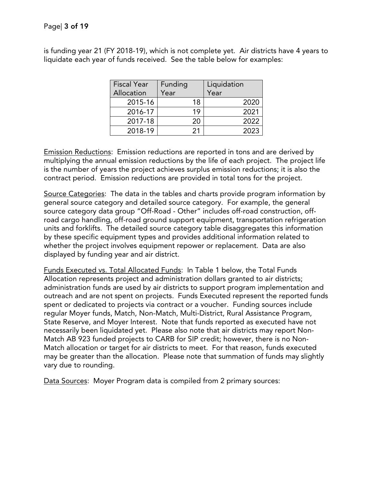is funding year 21 (FY 2018-19), which is not complete yet. Air districts have 4 years to liquidate each year of funds received. See the table below for examples:

| <b>Fiscal Year</b><br>Allocation | Funding<br>Year | Liquidation<br>Year |
|----------------------------------|-----------------|---------------------|
| 2015-16                          | 18              | 2020                |
| 2016-17                          | 19              | 2021                |
| 2017-18                          | 20              | 2022                |
| 2018-19                          | 21              | 2023                |

Emission Reductions: Emission reductions are reported in tons and are derived by multiplying the annual emission reductions by the life of each project. The project life is the number of years the project achieves surplus emission reductions; it is also the contract period. Emission reductions are provided in total tons for the project.

Source Categories: The data in the tables and charts provide program information by general source category and detailed source category. For example, the general source category data group "Off-Road - Other" includes off-road construction, offroad cargo handling, off-road ground support equipment, transportation refrigeration units and forklifts. The detailed source category table disaggregates this information by these specific equipment types and provides additional information related to whether the project involves equipment repower or replacement. Data are also displayed by funding year and air district.

Funds Executed vs. Total Allocated Funds: In Table 1 below, the Total Funds Allocation represents project and administration dollars granted to air districts; administration funds are used by air districts to support program implementation and outreach and are not spent on projects. Funds Executed represent the reported funds spent or dedicated to projects via contract or a voucher. Funding sources include regular Moyer funds, Match, Non-Match, Multi-District, Rural Assistance Program, State Reserve, and Moyer Interest. Note that funds reported as executed have not necessarily been liquidated yet. Please also note that air districts may report Non-Match AB 923 funded projects to CARB for SIP credit; however, there is no Non-Match allocation or target for air districts to meet. For that reason, funds executed may be greater than the allocation. Please note that summation of funds may slightly vary due to rounding.

Data Sources: Moyer Program data is compiled from 2 primary sources: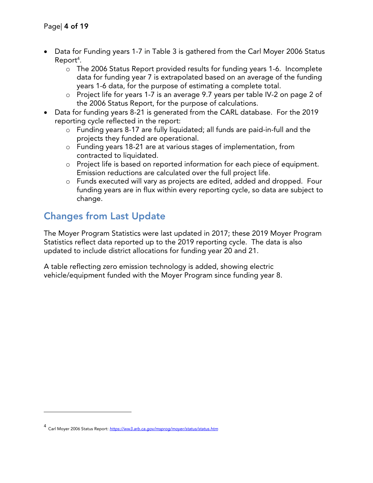- · Data for Funding years 1-7 in Table 3 is gathered from the Carl Moyer 2006 Status Report<sup>[4](#page-3-0)</sup>.
	- o The 2006 Status Report provided results for funding years 1-6. Incomplete data for funding year 7 is extrapolated based on an average of the funding years 1-6 data, for the purpose of estimating a complete total.
	- o Project life for years 1-7 is an average 9.7 years per table IV-2 on page 2 of the 2006 Status Report, for the purpose of calculations.
- · Data for funding years 8-21 is generated from the CARL database. For the 2019 reporting cycle reflected in the report:
	- o Funding years 8-17 are fully liquidated; all funds are paid-in-full and the projects they funded are operational.
	- o Funding years 18-21 are at various stages of implementation, from contracted to liquidated.
	- o Project life is based on reported information for each piece of equipment. Emission reductions are calculated over the full project life.
	- o Funds executed will vary as projects are edited, added and dropped. Four funding years are in flux within every reporting cycle, so data are subject to change.

## **Changes from Last Update**

The Moyer Program Statistics were last updated in 2017; these 2019 Moyer Program Statistics reflect data reported up to the 2019 reporting cycle. The data is also updated to include district allocations for funding year 20 and 21.

A table reflecting zero emission technology is added, showing electric vehicle/equipment funded with the Moyer Program since funding year 8.

l

<span id="page-3-0"></span><sup>4</sup> Carl Moyer 2006 Status Report: *<https://ww3.arb.ca.gov/msprog/moyer/status/status.htm>*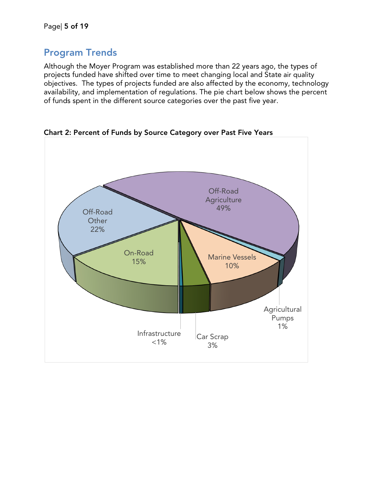## **Program Trends**

Although the Moyer Program was established more than 22 years ago, the types of projects funded have shifted over time to meet changing local and State air quality objectives. The types of projects funded are also affected by the economy, technology availability, and implementation of regulations. The pie chart below shows the percent of funds spent in the different source categories over the past five year.



**Chart 2: Percent of Funds by Source Category over Past Five Years**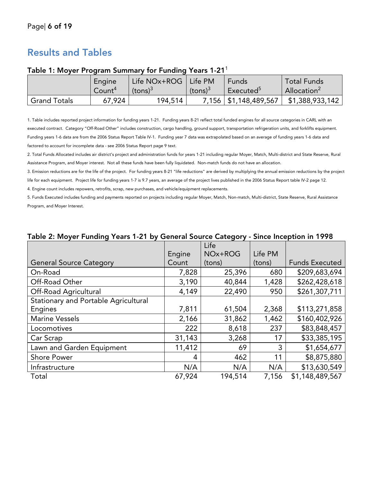## **Results and Tables**

|                     | Engine             | Life NOx+ROG | Life PM    | Funds                   | <b>Total Funds</b>      |
|---------------------|--------------------|--------------|------------|-------------------------|-------------------------|
|                     | Count <sup>4</sup> | $(tons)^3$   | $(tons)^3$ | Executed <sup>5</sup>   | Allocation <sup>2</sup> |
| <b>Grand Totals</b> | 67.924             | 194,514      |            | 7,156   \$1,148,489,567 | \$1,388,933,142         |

#### **Table 1: Moyer Program Summary for Funding Years 1-21**<sup>1</sup>

1. Table includes reported project information for funding years 1-21. Funding years 8-21 reflect total funded engines for all source categories in CARL with an executed contract. Category "Off-Road Other" includes construction, cargo handling, ground support, transportation refrigeration units, and forklifts equipment. Funding years 1-6 data are from the 2006 Status Report Table IV-1. Funding year 7 data was extrapolated based on an average of funding years 1-6 data and factored to account for incomplete data - see 2006 Status Report page 9 text.

2. Total Funds Allocated includes air district's project and administration funds for years 1-21 including regular Moyer, Match, Multi-district and State Reserve, Rural Assistance Program, and Moyer interest. Not all these funds have been fully liquidated. Non-match funds do not have an allocation.

3. Emission reductions are for the life of the project. For funding years 8-21 "life reductions" are derived by multiplying the annual emission reductions by the project life for each equipment. Project life for funding years 1-7 is 9.7 years, an average of the project lives published in the 2006 Status Report table IV-2 page 12.

4. Engine count includes repowers, retrofits, scrap, new purchases, and vehicle/equipment replacements.

5. Funds Executed includes funding and payments reported on projects including regular Moyer, Match, Non-match, Multi-district, State Reserve, Rural Assistance Program, and Moyer Interest.

| Table 2. Moyel I dildlig Tears T-2 I by Octicial Jource Category - Jince Inception in T770 |        |         |         |                       |
|--------------------------------------------------------------------------------------------|--------|---------|---------|-----------------------|
|                                                                                            |        | Life    |         |                       |
|                                                                                            | Engine | NOx+ROG | Life PM |                       |
| <b>General Source Category</b>                                                             | Count  | (tons)  | (tons)  | <b>Funds Executed</b> |
| On-Road                                                                                    | 7,828  | 25,396  | 680     | \$209,683,694         |
| Off-Road Other                                                                             | 3,190  | 40,844  | 1,428   | \$262,428,618         |
| <b>Off-Road Agricultural</b>                                                               | 4,149  | 22,490  | 950     | \$261,307,711         |
| Stationary and Portable Agricultural                                                       |        |         |         |                       |
| Engines                                                                                    | 7,811  | 61,504  | 2,368   | \$113,271,858         |
| <b>Marine Vessels</b>                                                                      | 2,166  | 31,862  | 1,462   | \$160,402,926         |
| Locomotives                                                                                | 222    | 8,618   | 237     | \$83,848,457          |
| Car Scrap                                                                                  | 31,143 | 3,268   | 17      | \$33,385,195          |
| Lawn and Garden Equipment                                                                  | 11,412 | 69      | 3       | \$1,654,677           |
| <b>Shore Power</b>                                                                         | 4      | 462     | 11      | \$8,875,880           |
| Infrastructure                                                                             | N/A    | N/A     | N/A     | \$13,630,549          |
| Total                                                                                      | 67,924 | 194,514 | 7,156   | \$1,148,489,567       |

#### **Table 2: Moyer Funding Years 1-21 by General Source Category - Since Inception in 1998**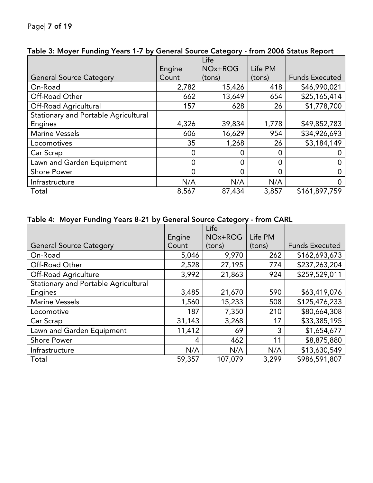|                                      |        | Life    |         |                       |
|--------------------------------------|--------|---------|---------|-----------------------|
|                                      |        |         |         |                       |
|                                      | Engine | NOx+ROG | Life PM |                       |
| <b>General Source Category</b>       | Count  | (tons)  | (tons)  | <b>Funds Executed</b> |
| On-Road                              | 2,782  | 15,426  | 418     | \$46,990,021          |
| Off-Road Other                       | 662    | 13,649  | 654     | \$25,165,414          |
| Off-Road Agricultural                | 157    | 628     | 26      | \$1,778,700           |
| Stationary and Portable Agricultural |        |         |         |                       |
| Engines                              | 4,326  | 39,834  | 1,778   | \$49,852,783          |
| <b>Marine Vessels</b>                | 606    | 16,629  | 954     | \$34,926,693          |
| Locomotives                          | 35     | 1,268   | 26      | \$3,184,149           |
| Car Scrap                            | 0      | O       | 0       |                       |
| Lawn and Garden Equipment            | 0      | C       | 0       |                       |
| <b>Shore Power</b>                   | 0      | 0       | 0       | Ω                     |
| Infrastructure                       | N/A    | N/A     | N/A     | 0                     |
| Total                                | 8,567  | 87,434  | 3,857   | \$161,897,759         |

#### **Table 3: Moyer Funding Years 1-7 by General Source Category - from 2006 Status Report**

### **Table 4: Moyer Funding Years 8-21 by General Source Category - from CARL**

|                                             |        | Life    |         |                       |
|---------------------------------------------|--------|---------|---------|-----------------------|
|                                             | Engine | NOx+ROG | Life PM |                       |
| <b>General Source Category</b>              | Count  | (tons)  | (tons)  | <b>Funds Executed</b> |
| On-Road                                     | 5,046  | 9,970   | 262     | \$162,693,673         |
| Off-Road Other                              | 2,528  | 27,195  | 774     | \$237,263,204         |
| <b>Off-Road Agriculture</b>                 | 3,992  | 21,863  | 924     | \$259,529,011         |
| <b>Stationary and Portable Agricultural</b> |        |         |         |                       |
| Engines                                     | 3,485  | 21,670  | 590     | \$63,419,076          |
| <b>Marine Vessels</b>                       | 1,560  | 15,233  | 508     | \$125,476,233         |
| Locomotive                                  | 187    | 7,350   | 210     | \$80,664,308          |
| Car Scrap                                   | 31,143 | 3,268   | 17      | \$33,385,195          |
| Lawn and Garden Equipment                   | 11,412 | 69      | 3       | \$1,654,677           |
| <b>Shore Power</b>                          | 4      | 462     | 11      | \$8,875,880           |
| Infrastructure                              | N/A    | N/A     | N/A     | \$13,630,549          |
| Total                                       | 59,357 | 107,079 | 3,299   | \$986,591,807         |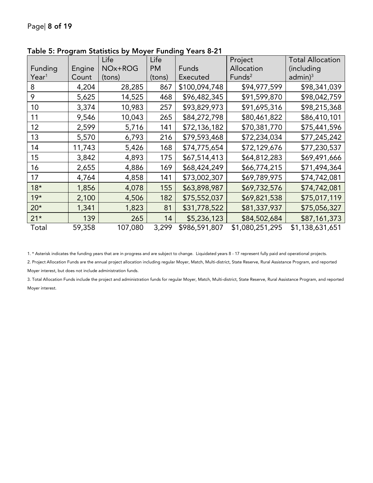|                   |        | Life    | Life      |               | Project            | <b>Total Allocation</b> |
|-------------------|--------|---------|-----------|---------------|--------------------|-------------------------|
| Funding           | Engine | NOx+ROG | <b>PM</b> | Funds         | Allocation         | (including              |
| $\mathsf{Year}^1$ | Count  | (tons)  | (tons)    | Executed      | Funds <sup>2</sup> | $admin)^3$              |
| 8                 | 4,204  | 28,285  | 867       | \$100,094,748 | \$94,977,599       | \$98,341,039            |
| 9                 | 5,625  | 14,525  | 468       | \$96,482,345  | \$91,599,870       | \$98,042,759            |
| 10                | 3,374  | 10,983  | 257       | \$93,829,973  | \$91,695,316       | \$98,215,368            |
| 11                | 9,546  | 10,043  | 265       | \$84,272,798  | \$80,461,822       | \$86,410,101            |
| 12                | 2,599  | 5,716   | 141       | \$72,136,182  | \$70,381,770       | \$75,441,596            |
| 13                | 5,570  | 6,793   | 216       | \$79,593,468  | \$72,234,034       | \$77,245,242            |
| 14                | 11,743 | 5,426   | 168       | \$74,775,654  | \$72,129,676       | \$77,230,537            |
| 15                | 3,842  | 4,893   | 175       | \$67,514,413  | \$64,812,283       | \$69,491,666            |
| 16                | 2,655  | 4,886   | 169       | \$68,424,249  | \$66,774,215       | \$71,494,364            |
| 17                | 4,764  | 4,858   | 141       | \$73,002,307  | \$69,789,975       | \$74,742,081            |
| $18*$             | 1,856  | 4,078   | 155       | \$63,898,987  | \$69,732,576       | \$74,742,081            |
| $19*$             | 2,100  | 4,506   | 182       | \$75,552,037  | \$69,821,538       | \$75,017,119            |
| $20*$             | 1,341  | 1,823   | 81        | \$31,778,522  | \$81,337,937       | \$75,056,327            |
| $21*$             | 139    | 265     | 14        | \$5,236,123   | \$84,502,684       | \$87,161,373            |
| Total             | 59,358 | 107,080 | 3,299     | \$986,591,807 | \$1,080,251,295    | \$1,138,631,651         |

**Table 5: Program Statistics by Moyer Funding Years 8-21**

1. \* Asterisk indicates the funding years that are in progress and are subject to change. Liquidated years 8 - 17 represent fully paid and operational projects.

2. Project Allocation Funds are the annual project allocation including regular Moyer, Match, Multi-district, State Reserve, Rural Assistance Program, and reported Moyer interest, but does not include administration funds.

3. Total Allocation Funds include the project and administration funds for regular Moyer, Match, Multi-district, State Reserve, Rural Assistance Program, and reported Moyer interest.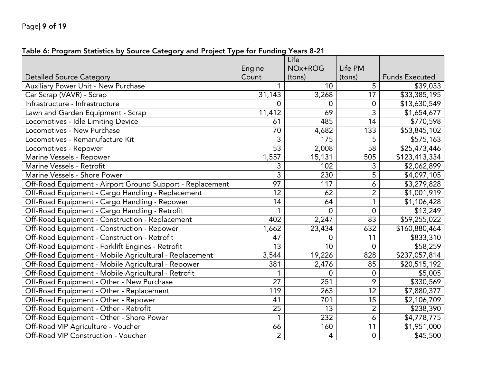### **Table 6: Program Statistics by Source Category and Project Type for Funding Years 8-21**

|                                                           |                 | Life            |                 |                       |
|-----------------------------------------------------------|-----------------|-----------------|-----------------|-----------------------|
|                                                           | Engine          | NOx+ROG         | Life PM         |                       |
| <b>Detailed Source Category</b>                           | Count           | (tons)          | (tons)          | <b>Funds Executed</b> |
| Auxiliary Power Unit - New Purchase                       |                 | 10              | 5               | \$39,033              |
| Car Scrap (VAVR) - Scrap                                  | 31,143          | 3,268           | 17              | \$33,385,195          |
| Infrastructure - Infrastructure                           | $\overline{0}$  | 0               | $\mathbf 0$     | \$13,630,549          |
| Lawn and Garden Equipment - Scrap                         | 11,412          | 69              | $\overline{3}$  | \$1,654,677           |
| Locomotives - Idle Limiting Device                        | 61              | 485             | 14              | \$770,598             |
| Locomotives - New Purchase                                | 70              | 4,682           | 133             | \$53,845,102          |
| Locomotives - Remanufacture Kit                           | 3               | 175             | 5               | \$575,163             |
| Locomotives - Repower                                     | $\overline{53}$ | 2,008           | 58              | \$25,473,446          |
| Marine Vessels - Repower                                  | 1,557           | 15,131          | 505             | \$123,413,334         |
| Marine Vessels - Retrofit                                 | 3               | 102             | 3               | \$2,062,899           |
| Marine Vessels - Shore Power                              | 3               | 230             | 5               | \$4,097,105           |
| Off-Road Equipment - Airport Ground Support - Replacement | 97              | 117             | $\ddot{\delta}$ | \$3,279,828           |
| Off-Road Equipment - Cargo Handling - Replacement         | 12              | 62              | $\overline{2}$  | \$1,001,919           |
| Off-Road Equipment - Cargo Handling - Repower             | 14              | 64              | 1               | \$1,106,428           |
| Off-Road Equipment - Cargo Handling - Retrofit            | $\mathbf{1}$    | $\overline{0}$  | $\mathbf 0$     | \$13,249              |
| Off-Road Equipment - Construction - Replacement           | 402             | 2,247           | 83              | \$59,255,022          |
| Off-Road Equipment - Construction - Repower               | 1,662           | 23,434          | 632             | \$160,880,464         |
| Off-Road Equipment - Construction - Retrofit              | 47              | 0               | 11              | \$833,310             |
| Off-Road Equipment - Forklift Engines - Retrofit          | $\overline{13}$ | $\overline{10}$ | $\mathbf 0$     | \$58,259              |
| Off-Road Equipment - Mobile Agricultural - Replacement    | 3,544           | 19,226          | 828             | \$237,057,814         |
| Off-Road Equipment - Mobile Agricultural - Repower        | 381             | 2,476           | 85              | \$20,515,192          |
| Off-Road Equipment - Mobile Agricultural - Retrofit       |                 | $\Omega$        | $\mathbf 0$     | \$5,005               |
| Off-Road Equipment - Other - New Purchase                 | 27              | 251             | 9               | \$330,569             |
| Off-Road Equipment - Other - Replacement                  | 119             | 263             | 12              | \$7,880,377           |
| Off-Road Equipment - Other - Repower                      | 41              | 701             | 15              | \$2,106,709           |
| Off-Road Equipment - Other - Retrofit                     | 25              | 13              | $\overline{2}$  | \$238,390             |
| Off-Road Equipment - Other - Shore Power                  | 1               | 232             | 6               | \$4,778,775           |
| Off-Road VIP Agriculture - Voucher                        | 66              | 160             | $\overline{11}$ | \$1,951,000           |
| Off-Road VIP Construction - Voucher                       | $\overline{2}$  | 4               | $\overline{0}$  | \$45,500              |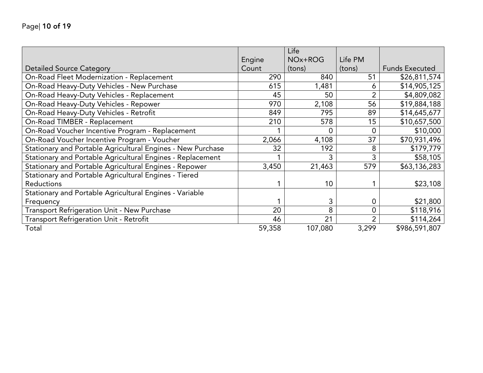|                                                             | Engine | Life<br>NOx+ROG | Life PM        |                       |
|-------------------------------------------------------------|--------|-----------------|----------------|-----------------------|
| <b>Detailed Source Category</b>                             | Count  | (tons)          | (tons)         | <b>Funds Executed</b> |
| On-Road Fleet Modernization - Replacement                   | 290    | 840             | 51             | \$26,811,574          |
| On-Road Heavy-Duty Vehicles - New Purchase                  | 615    | 1,481           | 6              | \$14,905,125          |
| On-Road Heavy-Duty Vehicles - Replacement                   | 45     | 50              | $\overline{2}$ | \$4,809,082           |
| On-Road Heavy-Duty Vehicles - Repower                       | 970    | 2,108           | 56             | \$19,884,188          |
| On-Road Heavy-Duty Vehicles - Retrofit                      | 849    | 795             | 89             | \$14,645,677          |
| On-Road TIMBER - Replacement                                | 210    | 578             | 15             | \$10,657,500          |
| On-Road Voucher Incentive Program - Replacement             |        | 0               | $\overline{0}$ | \$10,000              |
| On-Road Voucher Incentive Program - Voucher                 | 2,066  | 4,108           | 37             | \$70,931,496          |
| Stationary and Portable Agricultural Engines - New Purchase | 32     | 192             | 8              | \$179,779             |
| Stationary and Portable Agricultural Engines - Replacement  |        | 3               | 3              | \$58,105              |
| Stationary and Portable Agricultural Engines - Repower      | 3,450  | 21,463          | 579            | \$63,136,283          |
| Stationary and Portable Agricultural Engines - Tiered       |        |                 |                |                       |
| <b>Reductions</b>                                           |        | 10              |                | \$23,108              |
| Stationary and Portable Agricultural Engines - Variable     |        |                 |                |                       |
| Frequency                                                   |        | 3               | 0              | \$21,800              |
| <b>Transport Refrigeration Unit - New Purchase</b>          | 20     | 8               | $\overline{0}$ | \$118,916             |
| <b>Transport Refrigeration Unit - Retrofit</b>              | 46     | 21              | $\overline{2}$ | \$114,264             |
| Total                                                       | 59,358 | 107,080         | 3,299          | \$986,591,807         |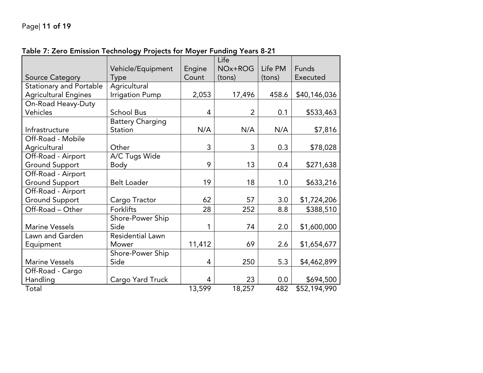|                                |                         |        | Life           |         |              |
|--------------------------------|-------------------------|--------|----------------|---------|--------------|
|                                | Vehicle/Equipment       | Engine | NOx+ROG        | Life PM | Funds        |
| <b>Source Category</b>         | Type                    | Count  | (tons)         | (tons)  | Executed     |
| <b>Stationary and Portable</b> | Agricultural            |        |                |         |              |
| <b>Agricultural Engines</b>    | Irrigation Pump         | 2,053  | 17,496         | 458.6   | \$40,146,036 |
| On-Road Heavy-Duty             |                         |        |                |         |              |
| Vehicles                       | <b>School Bus</b>       | 4      | $\overline{2}$ | 0.1     | \$533,463    |
|                                | <b>Battery Charging</b> |        |                |         |              |
| Infrastructure                 | Station                 | N/A    | N/A            | N/A     | \$7,816      |
| Off-Road - Mobile              |                         |        |                |         |              |
| Agricultural                   | Other                   | 3      | 3              | 0.3     | \$78,028     |
| Off-Road - Airport             | A/C Tugs Wide           |        |                |         |              |
| <b>Ground Support</b>          | Body                    | 9      | 13             | 0.4     | \$271,638    |
| Off-Road - Airport             |                         |        |                |         |              |
| <b>Ground Support</b>          | <b>Belt Loader</b>      | 19     | 18             | 1.0     | \$633,216    |
| Off-Road - Airport             |                         |        |                |         |              |
| <b>Ground Support</b>          | Cargo Tractor           | 62     | 57             | 3.0     | \$1,724,206  |
| Off-Road - Other               | <b>Forklifts</b>        | 28     | 252            | 8.8     | \$388,510    |
|                                | Shore-Power Ship        |        |                |         |              |
| <b>Marine Vessels</b>          | Side                    | 1      | 74             | 2.0     | \$1,600,000  |
| Lawn and Garden                | <b>Residential Lawn</b> |        |                |         |              |
| Equipment                      | Mower                   | 11,412 | 69             | 2.6     | \$1,654,677  |
|                                | Shore-Power Ship        |        |                |         |              |
| <b>Marine Vessels</b>          | Side                    | 4      | 250            | 5.3     | \$4,462,899  |
| Off-Road - Cargo               |                         |        |                |         |              |
| Handling                       | Cargo Yard Truck        | 4      | 23             | 0.0     | \$694,500    |
| Total                          |                         | 13,599 | 18,257         | 482     | \$52,194,990 |

#### **Table 7: Zero Emission Technology Projects for Moyer Funding Years 8-21**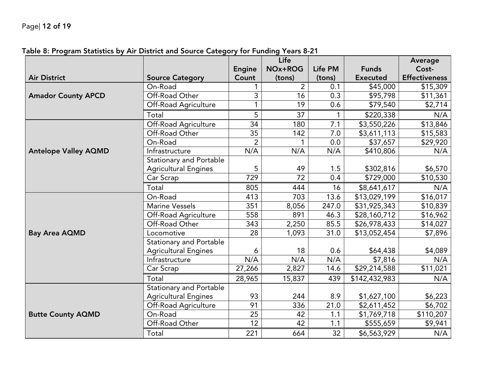|                             |                                |                | Life           |              |                          | <b>Average</b>       |
|-----------------------------|--------------------------------|----------------|----------------|--------------|--------------------------|----------------------|
|                             |                                | <b>Engine</b>  | NOx+ROG        | Life PM      | <b>Funds</b>             | Cost-                |
| <b>Air District</b>         | <b>Source Category</b>         | Count          | (tons)         | (tons)       | <b>Executed</b>          | <b>Effectiveness</b> |
|                             | On-Road                        |                | $\overline{2}$ | 0.1          | \$45,000                 | \$15,309             |
| <b>Amador County APCD</b>   | Off-Road Other                 | 3              | 16             | 0.3          | \$95,798                 | \$11,361             |
|                             | Off-Road Agriculture           | 1              | 19             | 0.6          | \$79,540                 | \$2,714              |
|                             | Total                          | 5              | 37             | $\mathbf{1}$ | \$220,338                | N/A                  |
|                             | Off-Road Agriculture           | 34             | 180            | 7.1          | \$3,550,226              | \$13,846             |
|                             | Off-Road Other                 | 35             | 142            | 7.0          | \$3,611,113              | \$15,583             |
|                             | On-Road                        | $\overline{2}$ | 1              | 0.0          | \$37,657                 | \$29,920             |
| <b>Antelope Valley AQMD</b> | Infrastructure                 | N/A            | N/A            | N/A          | \$410,806                | N/A                  |
|                             | <b>Stationary and Portable</b> |                |                |              |                          |                      |
|                             | <b>Agricultural Engines</b>    | 5              | 49             | 1.5          | \$302,816                | \$6,570              |
|                             | Car Scrap                      | 729            | 72             | 0.4          | \$729,000                | \$10,530             |
|                             | Total                          | 805            | 444            | 16           | \$8,641,617              | N/A                  |
|                             | On-Road                        | 413            | 703            | 13.6         | \$13,029,199             | \$16,017             |
|                             | <b>Marine Vessels</b>          | 351            | 8,056          | 247.0        | $\overline{$31,925,343}$ | \$10,839             |
|                             | Off-Road Agriculture           | 558            | 891            | 46.3         | \$28,160,712             | \$16,962             |
|                             | Off-Road Other                 | 343            | 2,250          | 85.5         | \$26,978,433             | \$14,027             |
| <b>Bay Area AQMD</b>        | Locomotive                     | 28             | 1,093          | 31.0         | \$13,052,454             | \$7,896              |
|                             | <b>Stationary and Portable</b> |                |                |              |                          |                      |
|                             | <b>Agricultural Engines</b>    | 6              | 18             | 0.6          | \$64,438                 | \$4,089              |
|                             | Infrastructure                 | N/A            | N/A            | N/A          | \$7,816                  | N/A                  |
|                             | Car Scrap                      | 27,266         | 2,827          | 14.6         | \$29,214,588             | \$11,021             |
|                             | Total                          | 28,965         | 15,837         | 439          | \$142,432,983            | N/A                  |
|                             | <b>Stationary and Portable</b> |                |                |              |                          |                      |
|                             | <b>Agricultural Engines</b>    | 93             | 244            | 8.9          | \$1,627,100              | \$6,223              |
|                             | Off-Road Agriculture           | 91             | 336            | 21.0         | \$2,611,452              | \$6,702              |
| <b>Butte County AQMD</b>    | On-Road                        | 25             | 42             | 1.1          | \$1,769,718              | \$110,207            |
|                             | Off-Road Other                 | 12             | 42             | 1.1          | \$555,659                | \$9,941              |
|                             | Total                          | 221            | 664            | 32           | \$6,563,929              | N/A                  |

### **Table 8: Program Statistics by Air District and Source Category for Funding Years 8-21**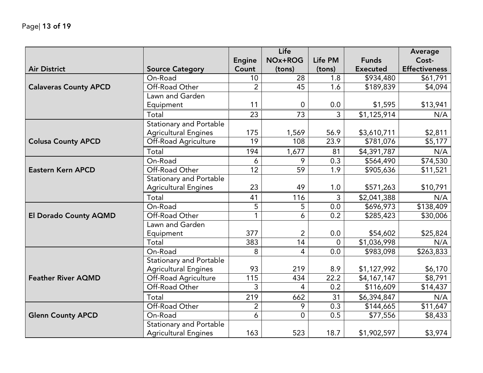|                              |                                |                | Life           |              |                 | <b>Average</b>       |
|------------------------------|--------------------------------|----------------|----------------|--------------|-----------------|----------------------|
|                              |                                | <b>Engine</b>  | NOx+ROG        | Life PM      | <b>Funds</b>    | Cost-                |
| <b>Air District</b>          | <b>Source Category</b>         | Count          | (tons)         | (tons)       | <b>Executed</b> | <b>Effectiveness</b> |
|                              | On-Road                        | 10             | 28             | 1.8          | \$934,480       | \$61,791             |
| <b>Calaveras County APCD</b> | Off-Road Other                 | $\overline{2}$ | 45             | 1.6          | \$189,839       | \$4,094              |
|                              | Lawn and Garden                |                |                |              |                 |                      |
|                              | Equipment                      | 11             | $\Omega$       | 0.0          | \$1,595         | \$13,941             |
|                              | Total                          | 23             | 73             | $\mathsf{3}$ | \$1,125,914     | N/A                  |
|                              | <b>Stationary and Portable</b> |                |                |              |                 |                      |
|                              | <b>Agricultural Engines</b>    | 175            | 1,569          | 56.9         | \$3,610,711     | \$2,811              |
| <b>Colusa County APCD</b>    | Off-Road Agriculture           | 19             | 108            | 23.9         | \$781,076       | \$5,177              |
|                              | Total                          | 194            | 1,677          | 81           | \$4,391,787     | N/A                  |
|                              | On-Road                        | 6              | 9              | 0.3          | \$564,490       | \$74,530             |
| <b>Eastern Kern APCD</b>     | Off-Road Other                 | 12             | 59             | 1.9          | \$905,636       | \$11,521             |
|                              | <b>Stationary and Portable</b> |                |                |              |                 |                      |
|                              | <b>Agricultural Engines</b>    | 23             | 49             | 1.0          | \$571,263       | \$10,791             |
|                              | Total                          | 41             | 116            | 3            | \$2,041,388     | N/A                  |
|                              | On-Road                        | 5              | 5              | 0.0          | \$696,973       | \$138,409            |
| <b>El Dorado County AQMD</b> | Off-Road Other                 | $\mathbf{1}$   | 6              | 0.2          | \$285,423       | \$30,006             |
|                              | Lawn and Garden                |                |                |              |                 |                      |
|                              | Equipment                      | 377            | $\overline{2}$ | 0.0          | \$54,602        | \$25,824             |
|                              | Total                          | 383            | 14             | $\Omega$     | \$1,036,998     | N/A                  |
|                              | On-Road                        | 8              | 4              | 0.0          | \$983,098       | \$263,833            |
|                              | <b>Stationary and Portable</b> |                |                |              |                 |                      |
|                              | <b>Agricultural Engines</b>    | 93             | 219            | 8.9          | \$1,127,992     | \$6,170              |
| <b>Feather River AQMD</b>    | Off-Road Agriculture           | 115            | 434            | 22.2         | \$4,167,147     | \$8,791              |
|                              | Off-Road Other                 | 3              | 4              | 0.2          | \$116,609       | \$14,437             |
|                              | Total                          | 219            | 662            | 31           | \$6,394,847     | N/A                  |
|                              | Off-Road Other                 | $\overline{2}$ | 9              | 0.3          | \$144,665       | \$11,647             |
| <b>Glenn County APCD</b>     | On-Road                        | 6              | $\overline{0}$ | 0.5          | \$77,556        | \$8,433              |
|                              | <b>Stationary and Portable</b> |                |                |              |                 |                      |
|                              | <b>Agricultural Engines</b>    | 163            | 523            | 18.7         | \$1,902,597     | \$3,974              |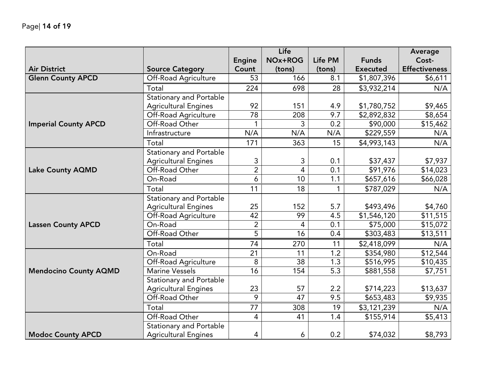|                              |                                |                | Life           |         |                 | <b>Average</b>       |
|------------------------------|--------------------------------|----------------|----------------|---------|-----------------|----------------------|
|                              |                                | <b>Engine</b>  | NOx+ROG        | Life PM | <b>Funds</b>    | Cost-                |
| <b>Air District</b>          | <b>Source Category</b>         | Count          | (tons)         | (tons)  | <b>Executed</b> | <b>Effectiveness</b> |
| <b>Glenn County APCD</b>     | Off-Road Agriculture           | 53             | 166            | 8.1     | \$1,807,396     | \$6,611              |
|                              | Total                          | 224            | 698            | 28      | \$3,932,214     | N/A                  |
|                              | <b>Stationary and Portable</b> |                |                |         |                 |                      |
|                              | <b>Agricultural Engines</b>    | 92             | 151            | 4.9     | \$1,780,752     | \$9,465              |
|                              | Off-Road Agriculture           | 78             | 208            | 9.7     | \$2,892,832     | \$8,654              |
| <b>Imperial County APCD</b>  | Off-Road Other                 |                | 3              | 0.2     | \$90,000        | \$15,462             |
|                              | Infrastructure                 | N/A            | N/A            | N/A     | \$229,559       | N/A                  |
|                              | Total                          | 171            | 363            | 15      | \$4,993,143     | N/A                  |
|                              | <b>Stationary and Portable</b> |                |                |         |                 |                      |
|                              | <b>Agricultural Engines</b>    | 3              | 3              | 0.1     | \$37,437        | \$7,937              |
| <b>Lake County AQMD</b>      | Off-Road Other                 | $\overline{2}$ | $\overline{4}$ | 0.1     | \$91,976        | \$14,023             |
|                              | On-Road                        | 6              | 10             | 1.1     | \$657,616       | \$66,028             |
|                              | Total                          | 11             | 18             | 1       | \$787,029       | N/A                  |
|                              | <b>Stationary and Portable</b> |                |                |         |                 |                      |
|                              | <b>Agricultural Engines</b>    | 25             | 152            | 5.7     | \$493,496       | \$4,760              |
|                              | Off-Road Agriculture           | 42             | 99             | 4.5     | \$1,546,120     | \$11,515             |
| <b>Lassen County APCD</b>    | On-Road                        | $\overline{2}$ | 4              | 0.1     | \$75,000        | \$15,072             |
|                              | Off-Road Other                 | 5              | 16             | 0.4     | \$303,483       | \$13,511             |
|                              | Total                          | 74             | 270            | 11      | \$2,418,099     | N/A                  |
|                              | On-Road                        | 21             | 11             | 1.2     | \$354,980       | \$12,544             |
|                              | Off-Road Agriculture           | 8              | 38             | 1.3     | \$516,995       | \$10,435             |
| <b>Mendocino County AQMD</b> | <b>Marine Vessels</b>          | 16             | 154            | 5.3     | \$881,558       | \$7,751              |
|                              | <b>Stationary and Portable</b> |                |                |         |                 |                      |
|                              | <b>Agricultural Engines</b>    | 23             | 57             | 2.2     | \$714,223       | \$13,637             |
|                              | Off-Road Other                 | 9              | 47             | 9.5     | \$653,483       | \$9,935              |
|                              | Total                          | 77             | 308            | 19      | \$3,121,239     | N/A                  |
|                              | Off-Road Other                 | 4              | 41             | 1.4     | \$155,914       | \$5,413              |
|                              | <b>Stationary and Portable</b> |                |                |         |                 |                      |
| <b>Modoc County APCD</b>     | <b>Agricultural Engines</b>    | 4              | 6              | 0.2     | \$74,032        | \$8,793              |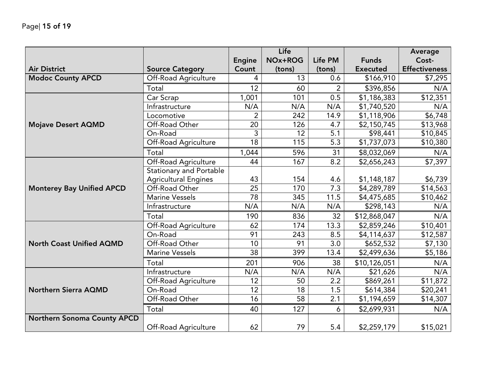|                                  |                                |                 | Life    |         |                 | <b>Average</b>       |
|----------------------------------|--------------------------------|-----------------|---------|---------|-----------------|----------------------|
|                                  |                                | Engine          | NOx+ROG | Life PM | <b>Funds</b>    | Cost-                |
| <b>Air District</b>              | <b>Source Category</b>         | Count           | (tons)  | (tons)  | <b>Executed</b> | <b>Effectiveness</b> |
| <b>Modoc County APCD</b>         | Off-Road Agriculture           | 4               | 13      | 0.6     | \$166,910       | \$7,295              |
|                                  | Total                          | 12              | 60      | 2       | \$396,856       | N/A                  |
|                                  | Car Scrap                      | 1,001           | 101     | 0.5     | \$1,186,383     | \$12,351             |
|                                  | Infrastructure                 | N/A             | N/A     | N/A     | \$1,740,520     | N/A                  |
|                                  | Locomotive                     | 2               | 242     | 14.9    | \$1,118,906     | \$6,748              |
| <b>Mojave Desert AQMD</b>        | Off-Road Other                 | 20              | 126     | 4.7     | \$2,150,745     | \$13,968             |
|                                  | On-Road                        | 3               | 12      | 5.1     | \$98,441        | \$10,845             |
|                                  | Off-Road Agriculture           | 18              | 115     | 5.3     | \$1,737,073     | \$10,380             |
|                                  | Total                          | 1,044           | 596     | 31      | \$8,032,069     | N/A                  |
|                                  | Off-Road Agriculture           | 44              | 167     | 8.2     | \$2,656,243     | \$7,397              |
|                                  | <b>Stationary and Portable</b> |                 |         |         |                 |                      |
|                                  | <b>Agricultural Engines</b>    | 43              | 154     | 4.6     | \$1,148,187     | \$6,739              |
| <b>Monterey Bay Unified APCD</b> | Off-Road Other                 | 25              | 170     | 7.3     | \$4,289,789     | \$14,563             |
|                                  | <b>Marine Vessels</b>          | 78              | 345     | 11.5    | \$4,475,685     | \$10,462             |
|                                  | Infrastructure                 | N/A             | N/A     | N/A     | \$298,143       | N/A                  |
|                                  | Total                          | 190             | 836     | 32      | \$12,868,047    | N/A                  |
|                                  | Off-Road Agriculture           | 62              | 174     | 13.3    | \$2,859,246     | \$10,401             |
|                                  | On-Road                        | 91              | 243     | 8.5     | \$4,114,637     | \$12,587             |
| <b>North Coast Unified AQMD</b>  | Off-Road Other                 | 10              | 91      | 3.0     | \$652,532       | \$7,130              |
|                                  | <b>Marine Vessels</b>          | $\overline{38}$ | 399     | 13.4    | \$2,499,636     | \$5,186              |
|                                  | Total                          | 201             | 906     | 38      | \$10,126,051    | N/A                  |
|                                  | Infrastructure                 | N/A             | N/A     | N/A     | \$21,626        | N/A                  |
|                                  | Off-Road Agriculture           | 12              | 50      | 2.2     | \$869,261       | \$11,872             |
| <b>Northern Sierra AQMD</b>      | On-Road                        | 12              | 18      | 1.5     | \$614,384       | \$20,241             |
|                                  | Off-Road Other                 | 16              | 58      | 2.1     | \$1,194,659     | \$14,307             |
|                                  | Total                          | 40              | 127     | 6       | \$2,699,931     | N/A                  |
| Northern Sonoma County APCD      |                                |                 |         |         |                 |                      |
|                                  | Off-Road Agriculture           | 62              | 79      | 5.4     | \$2,259,179     | \$15,021             |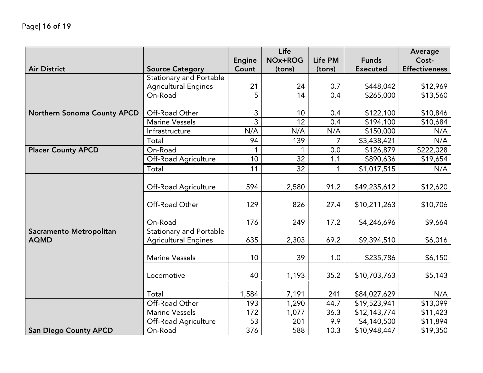|                              |                                |                 | Life    |                |                 | <b>Average</b>       |
|------------------------------|--------------------------------|-----------------|---------|----------------|-----------------|----------------------|
|                              |                                | <b>Engine</b>   | NOx+ROG | <b>Life PM</b> | <b>Funds</b>    | Cost-                |
| <b>Air District</b>          | <b>Source Category</b>         | Count           | (tons)  | (tons)         | <b>Executed</b> | <b>Effectiveness</b> |
|                              | <b>Stationary and Portable</b> |                 |         |                |                 |                      |
|                              | <b>Agricultural Engines</b>    | 21              | 24      | 0.7            | \$448,042       | \$12,969             |
|                              | On-Road                        | 5               | 14      | 0.4            | \$265,000       | \$13,560             |
|                              |                                |                 |         |                |                 |                      |
| Northern Sonoma County APCD  | Off-Road Other                 | 3               | 10      | 0.4            | \$122,100       | \$10,846             |
|                              | <b>Marine Vessels</b>          | 3               | 12      | 0.4            | \$194,100       | \$10,684             |
|                              | Infrastructure                 | N/A             | N/A     | N/A            | \$150,000       | N/A                  |
|                              | Total                          | 94              | 139     | 7              | \$3,438,421     | N/A                  |
| <b>Placer County APCD</b>    | On-Road                        | $\mathbf{1}$    |         | 0.0            | \$126,879       | \$222,028            |
|                              | Off-Road Agriculture           | 10 <sup>1</sup> | 32      | 1.1            | \$890,636       | \$19,654             |
|                              | Total                          | 11              | 32      |                | \$1,017,515     | N/A                  |
|                              |                                |                 |         |                |                 |                      |
|                              | Off-Road Agriculture           | 594             | 2,580   | 91.2           | \$49,235,612    | \$12,620             |
|                              |                                |                 |         |                |                 |                      |
|                              | Off-Road Other                 | 129             | 826     | 27.4           | \$10,211,263    | \$10,706             |
|                              |                                |                 |         |                |                 |                      |
|                              | On-Road                        | 176             | 249     | 17.2           | \$4,246,696     | \$9,664              |
| Sacramento Metropolitan      | <b>Stationary and Portable</b> |                 |         |                |                 |                      |
| <b>AQMD</b>                  | <b>Agricultural Engines</b>    | 635             | 2,303   | 69.2           | \$9,394,510     | \$6,016              |
|                              |                                |                 |         |                |                 |                      |
|                              | <b>Marine Vessels</b>          | 10              | 39      | 1.0            | \$235,786       | \$6,150              |
|                              |                                |                 |         |                |                 |                      |
|                              | Locomotive                     | 40              | 1,193   | 35.2           | \$10,703,763    | \$5,143              |
|                              |                                |                 |         |                |                 |                      |
|                              | Total                          | 1,584           | 7,191   | 241            | \$84,027,629    | N/A                  |
|                              | Off-Road Other                 | 193             | 1,290   | 44.7           | \$19,523,941    | \$13,099             |
|                              | <b>Marine Vessels</b>          | 172             | 1,077   | 36.3           | \$12,143,774    | \$11,423             |
|                              | Off-Road Agriculture           | 53              | 201     | 9.9            | \$4,140,500     | \$11,894             |
| <b>San Diego County APCD</b> | On-Road                        | 376             | 588     | 10.3           | \$10,948,447    | \$19,350             |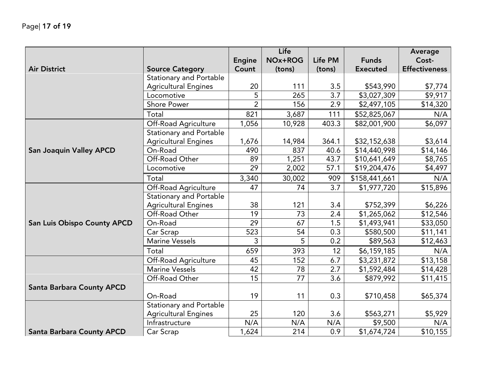|                                    |                                |                | Life    |         |                 | Average              |
|------------------------------------|--------------------------------|----------------|---------|---------|-----------------|----------------------|
|                                    |                                | <b>Engine</b>  | NOx+ROG | Life PM | <b>Funds</b>    | Cost-                |
| <b>Air District</b>                | <b>Source Category</b>         | Count          | (tons)  | (tons)  | <b>Executed</b> | <b>Effectiveness</b> |
|                                    | <b>Stationary and Portable</b> |                |         |         |                 |                      |
|                                    | <b>Agricultural Engines</b>    | 20             | 111     | 3.5     | \$543,990       | \$7,774              |
|                                    | Locomotive                     | 5              | 265     | 3.7     | \$3,027,309     | \$9,917              |
|                                    | <b>Shore Power</b>             | $\overline{2}$ | 156     | 2.9     | \$2,497,105     | \$14,320             |
|                                    | Total                          | 821            | 3,687   | 111     | \$52,825,067    | N/A                  |
|                                    | Off-Road Agriculture           | 1,056          | 10,928  | 403.3   | \$82,001,900    | \$6,097              |
|                                    | <b>Stationary and Portable</b> |                |         |         |                 |                      |
|                                    | <b>Agricultural Engines</b>    | 1,676          | 14,984  | 364.1   | \$32,152,638    | \$3,614              |
| <b>San Joaquin Valley APCD</b>     | On-Road                        | 490            | 837     | 40.6    | \$14,440,998    | \$14,146             |
|                                    | Off-Road Other                 | 89             | 1,251   | 43.7    | \$10,641,649    | \$8,765              |
|                                    | Locomotive                     | 29             | 2,002   | 57.1    | \$19,204,476    | \$4,497              |
|                                    | Total                          | 3,340          | 30,002  | 909     | \$158,441,661   | N/A                  |
|                                    | Off-Road Agriculture           | 47             | 74      | 3.7     | \$1,977,720     | \$15,896             |
|                                    | <b>Stationary and Portable</b> |                |         |         |                 |                      |
|                                    | <b>Agricultural Engines</b>    | 38             | 121     | 3.4     | \$752,399       | \$6,226              |
|                                    | Off-Road Other                 | 19             | 73      | 2.4     | \$1,265,062     | \$12,546             |
| <b>San Luis Obispo County APCD</b> | On-Road                        | 29             | 67      | 1.5     | \$1,493,941     | \$33,050             |
|                                    | Car Scrap                      | 523            | 54      | 0.3     | \$580,500       | \$11,141             |
|                                    | <b>Marine Vessels</b>          | 3              | 5       | 0.2     | \$89,563        | \$12,463             |
|                                    | Total                          | 659            | 393     | 12      | \$6,159,185     | N/A                  |
|                                    | Off-Road Agriculture           | 45             | 152     | 6.7     | \$3,231,872     | \$13,158             |
|                                    | <b>Marine Vessels</b>          | 42             | 78      | 2.7     | \$1,592,484     | \$14,428             |
|                                    | Off-Road Other                 | 15             | 77      | 3.6     | \$879,992       | \$11,415             |
| <b>Santa Barbara County APCD</b>   |                                |                |         |         |                 |                      |
|                                    | On-Road                        | 19             | 11      | 0.3     | \$710,458       | \$65,374             |
|                                    | <b>Stationary and Portable</b> |                |         |         |                 |                      |
|                                    | <b>Agricultural Engines</b>    | 25             | 120     | 3.6     | \$563,271       | \$5,929              |
|                                    | Infrastructure                 | N/A            | N/A     | N/A     | \$9,500         | N/A                  |
| <b>Santa Barbara County APCD</b>   | Car Scrap                      | 1,624          | 214     | 0.9     | \$1,674,724     | \$10,155             |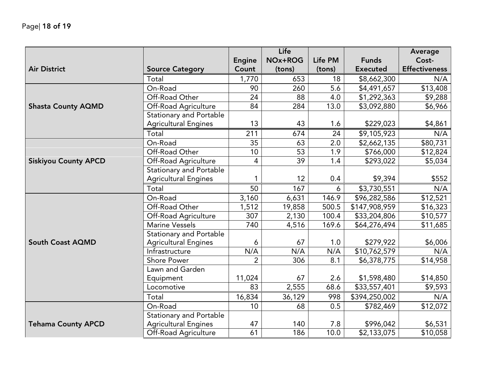|                             |                                |                 | Life    |         |                 | Average              |
|-----------------------------|--------------------------------|-----------------|---------|---------|-----------------|----------------------|
|                             |                                | <b>Engine</b>   | NOx+ROG | Life PM | <b>Funds</b>    | Cost-                |
| <b>Air District</b>         | <b>Source Category</b>         | Count           | (tons)  | (tons)  | <b>Executed</b> | <b>Effectiveness</b> |
|                             | Total                          | 1,770           | 653     | 18      | \$8,662,300     | N/A                  |
|                             | On-Road                        | 90              | 260     | 5.6     | \$4,491,657     | $\overline{$}13,408$ |
|                             | Off-Road Other                 | 24              | 88      | 4.0     | \$1,292,363     | \$9,288              |
| <b>Shasta County AQMD</b>   | Off-Road Agriculture           | 84              | 284     | 13.0    | \$3,092,880     | \$6,966              |
|                             | <b>Stationary and Portable</b> |                 |         |         |                 |                      |
|                             | <b>Agricultural Engines</b>    | 13              | 43      | 1.6     | \$229,023       | \$4,861              |
|                             | Total                          | 211             | 674     | 24      | \$9,105,923     | N/A                  |
|                             | On-Road                        | 35              | 63      | 2.0     | \$2,662,135     | \$80,731             |
|                             | Off-Road Other                 | 10              | 53      | 1.9     | \$766,000       | \$12,824             |
| <b>Siskiyou County APCD</b> | Off-Road Agriculture           | $\overline{4}$  | 39      | 1.4     | \$293,022       | \$5,034              |
|                             | <b>Stationary and Portable</b> |                 |         |         |                 |                      |
|                             | <b>Agricultural Engines</b>    | 1               | 12      | 0.4     | \$9,394         | \$552                |
|                             | Total                          | 50              | 167     | 6       | \$3,730,551     | N/A                  |
|                             | On-Road                        | 3,160           | 6,631   | 146.9   | \$96,282,586    | \$12,521             |
|                             | Off-Road Other                 | 1,512           | 19,858  | 500.5   | \$147,908,959   | \$16,323             |
|                             | Off-Road Agriculture           | 307             | 2,130   | 100.4   | \$33,204,806    | \$10,577             |
|                             | <b>Marine Vessels</b>          | 740             | 4,516   | 169.6   | \$64,276,494    | \$11,685             |
|                             | <b>Stationary and Portable</b> |                 |         |         |                 |                      |
| <b>South Coast AQMD</b>     | <b>Agricultural Engines</b>    | 6               | 67      | 1.0     | \$279,922       | \$6,006              |
|                             | Infrastructure                 | N/A             | N/A     | N/A     | \$10,762,579    | N/A                  |
|                             | <b>Shore Power</b>             | $\overline{2}$  | 306     | 8.1     | \$6,378,775     | \$14,958             |
|                             | Lawn and Garden                |                 |         |         |                 |                      |
|                             | Equipment                      | 11,024          | 67      | 2.6     | \$1,598,480     | \$14,850             |
|                             | Locomotive                     | 83              | 2,555   | 68.6    | \$33,557,401    | \$9,593              |
|                             | Total                          | 16,834          | 36,129  | 998     | \$394,250,002   | N/A                  |
|                             | On-Road                        | 10 <sup>1</sup> | 68      | 0.5     | \$782,469       | \$12,072             |
|                             | Stationary and Portable        |                 |         |         |                 |                      |
| <b>Tehama County APCD</b>   | <b>Agricultural Engines</b>    | 47              | 140     | 7.8     | \$996,042       | \$6,531              |
|                             | Off-Road Agriculture           | 61              | 186     | 10.0    | \$2,133,075     | \$10,058             |